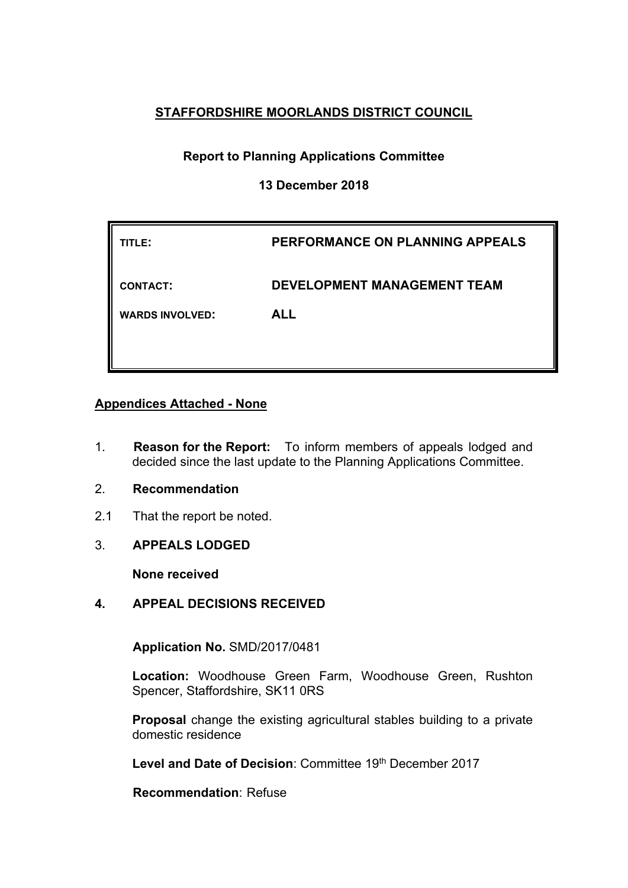## **STAFFORDSHIRE MOORLANDS DISTRICT COUNCIL**

# **Report to Planning Applications Committee**

## **13 December 2018**

| TITLE:                 | PERFORMANCE ON PLANNING APPEALS    |
|------------------------|------------------------------------|
| <b>CONTACT:</b>        | <b>DEVELOPMENT MANAGEMENT TEAM</b> |
| <b>WARDS INVOLVED:</b> | <b>ALL</b>                         |

## **Appendices Attached - None**

- 1. **Reason for the Report:** To inform members of appeals lodged and decided since the last update to the Planning Applications Committee.
- 2. **Recommendation**
- 2.1 That the report be noted.
- 3. **APPEALS LODGED**

**None received**

## **4. APPEAL DECISIONS RECEIVED**

**Application No.** SMD/2017/0481

**Location:** Woodhouse Green Farm, Woodhouse Green, Rushton Spencer, Staffordshire, SK11 0RS

**Proposal** change the existing agricultural stables building to a private domestic residence

**Level and Date of Decision**: Committee 19th December 2017

**Recommendation**: Refuse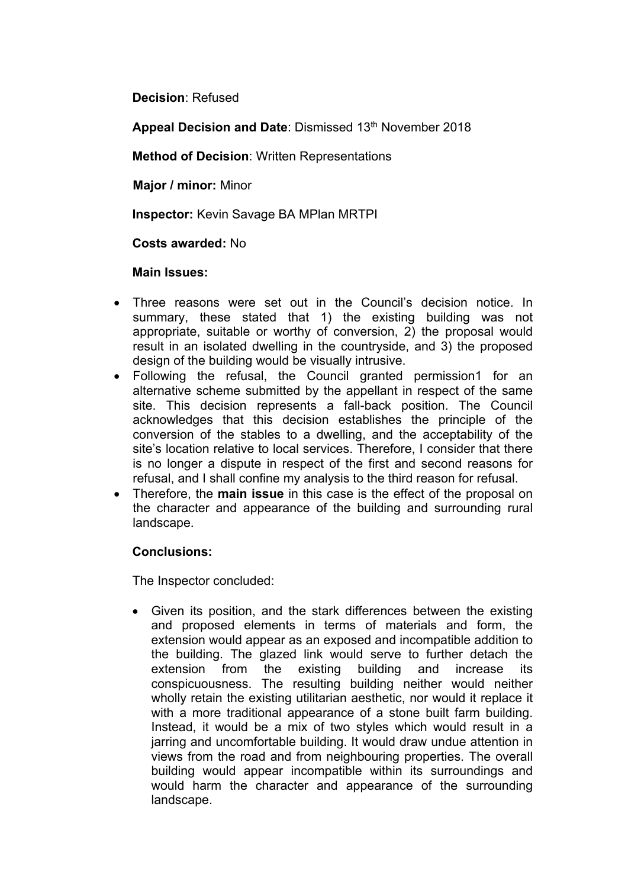**Decision**: Refused

**Appeal Decision and Date**: Dismissed 13th November 2018

**Method of Decision**: Written Representations

**Major / minor:** Minor

**Inspector:** Kevin Savage BA MPlan MRTPI

**Costs awarded:** No

## **Main Issues:**

- Three reasons were set out in the Council's decision notice. In summary, these stated that 1) the existing building was not appropriate, suitable or worthy of conversion, 2) the proposal would result in an isolated dwelling in the countryside, and 3) the proposed design of the building would be visually intrusive.
- Following the refusal, the Council granted permission1 for an alternative scheme submitted by the appellant in respect of the same site. This decision represents a fall-back position. The Council acknowledges that this decision establishes the principle of the conversion of the stables to a dwelling, and the acceptability of the site's location relative to local services. Therefore, I consider that there is no longer a dispute in respect of the first and second reasons for refusal, and I shall confine my analysis to the third reason for refusal.
- Therefore, the **main issue** in this case is the effect of the proposal on the character and appearance of the building and surrounding rural landscape.

## **Conclusions:**

The Inspector concluded:

 Given its position, and the stark differences between the existing and proposed elements in terms of materials and form, the extension would appear as an exposed and incompatible addition to the building. The glazed link would serve to further detach the extension from the existing building and increase its conspicuousness. The resulting building neither would neither wholly retain the existing utilitarian aesthetic, nor would it replace it with a more traditional appearance of a stone built farm building. Instead, it would be a mix of two styles which would result in a jarring and uncomfortable building. It would draw undue attention in views from the road and from neighbouring properties. The overall building would appear incompatible within its surroundings and would harm the character and appearance of the surrounding landscape.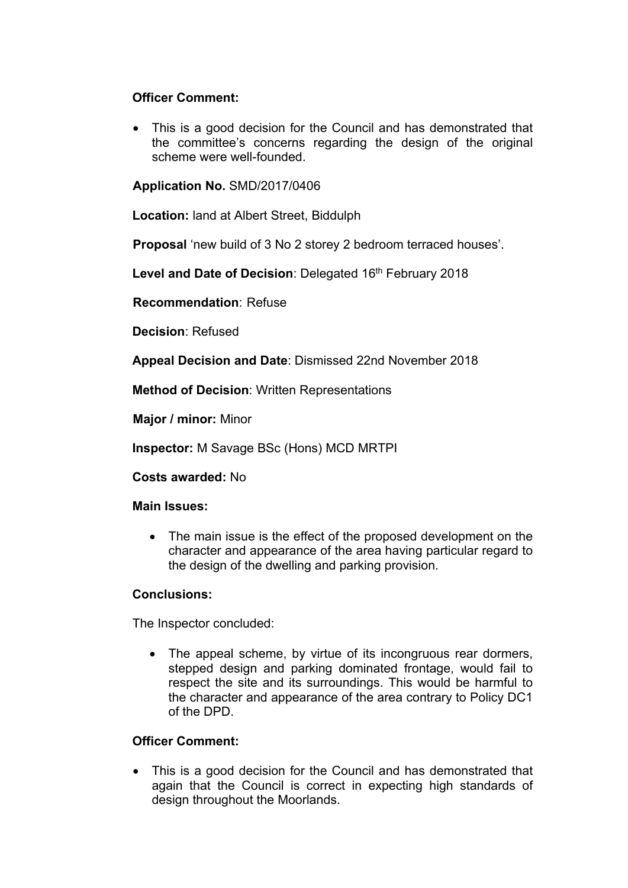## **Officer Comment:**

• This is a good decision for the Council and has demonstrated that the committee's concerns regarding the design of the original scheme were well-founded.

**Application No.** SMD/2017/0406

**Location:** land at Albert Street, Biddulph

**Proposal** 'new build of 3 No 2 storey 2 bedroom terraced houses'.

**Level and Date of Decision**: Delegated 16th February 2018

**Recommendation**: Refuse

**Decision**: Refused

**Appeal Decision and Date**: Dismissed 22nd November 2018

**Method of Decision**: Written Representations

**Major / minor:** Minor

**Inspector:** M Savage BSc (Hons) MCD MRTPI

**Costs awarded:** No

## **Main Issues:**

• The main issue is the effect of the proposed development on the character and appearance of the area having particular regard to the design of the dwelling and parking provision.

## **Conclusions:**

The Inspector concluded:

• The appeal scheme, by virtue of its incongruous rear dormers, stepped design and parking dominated frontage, would fail to respect the site and its surroundings. This would be harmful to the character and appearance of the area contrary to Policy DC1 of the DPD.

## **Officer Comment:**

 This is a good decision for the Council and has demonstrated that again that the Council is correct in expecting high standards of design throughout the Moorlands.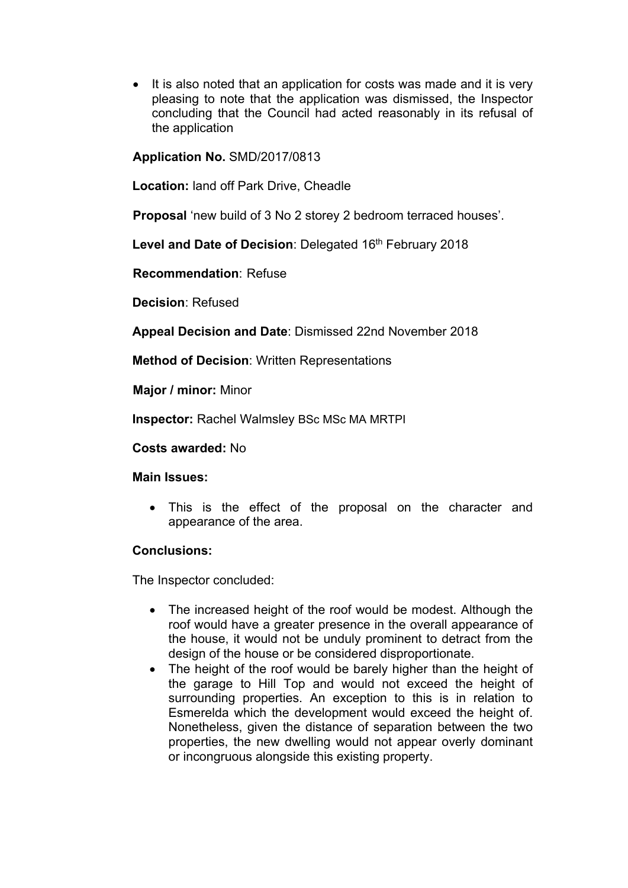• It is also noted that an application for costs was made and it is very pleasing to note that the application was dismissed, the Inspector concluding that the Council had acted reasonably in its refusal of the application

**Application No.** SMD/2017/0813

**Location:** land off Park Drive, Cheadle

**Proposal** 'new build of 3 No 2 storey 2 bedroom terraced houses'.

**Level and Date of Decision**: Delegated 16th February 2018

**Recommendation**: Refuse

**Decision**: Refused

**Appeal Decision and Date**: Dismissed 22nd November 2018

**Method of Decision**: Written Representations

**Major / minor:** Minor

**Inspector:** Rachel Walmsley BSc MSc MA MRTPI

**Costs awarded:** No

## **Main Issues:**

 This is the effect of the proposal on the character and appearance of the area.

## **Conclusions:**

The Inspector concluded:

- The increased height of the roof would be modest. Although the roof would have a greater presence in the overall appearance of the house, it would not be unduly prominent to detract from the design of the house or be considered disproportionate.
- The height of the roof would be barely higher than the height of the garage to Hill Top and would not exceed the height of surrounding properties. An exception to this is in relation to Esmerelda which the development would exceed the height of. Nonetheless, given the distance of separation between the two properties, the new dwelling would not appear overly dominant or incongruous alongside this existing property.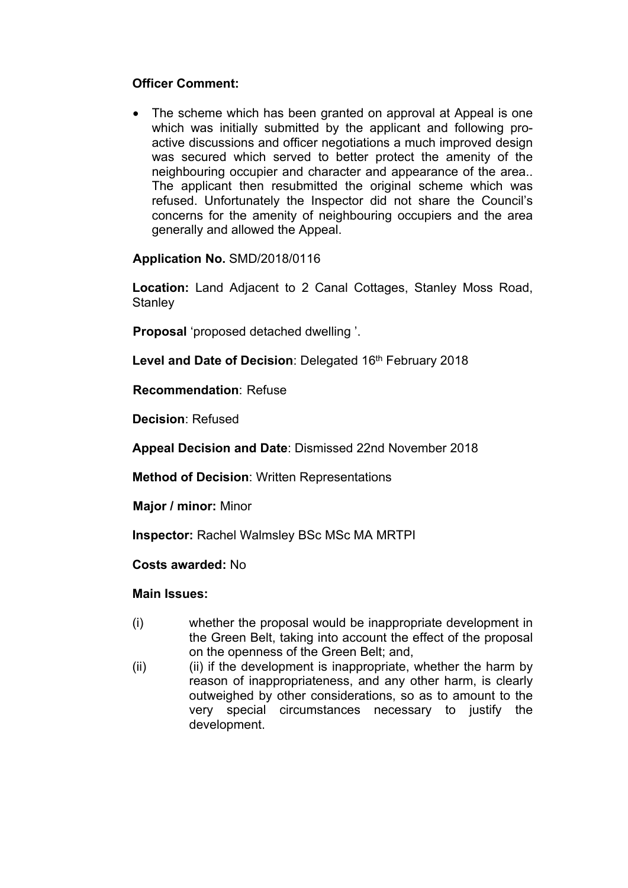## **Officer Comment:**

• The scheme which has been granted on approval at Appeal is one which was initially submitted by the applicant and following proactive discussions and officer negotiations a much improved design was secured which served to better protect the amenity of the neighbouring occupier and character and appearance of the area.. The applicant then resubmitted the original scheme which was refused. Unfortunately the Inspector did not share the Council's concerns for the amenity of neighbouring occupiers and the area generally and allowed the Appeal.

## **Application No.** SMD/2018/0116

**Location:** Land Adjacent to 2 Canal Cottages, Stanley Moss Road, **Stanley** 

**Proposal** 'proposed detached dwelling '.

**Level and Date of Decision**: Delegated 16th February 2018

**Recommendation**: Refuse

**Decision**: Refused

**Appeal Decision and Date**: Dismissed 22nd November 2018

**Method of Decision**: Written Representations

**Major / minor:** Minor

**Inspector:** Rachel Walmsley BSc MSc MA MRTPI

**Costs awarded:** No

## **Main Issues:**

- (i) whether the proposal would be inappropriate development in the Green Belt, taking into account the effect of the proposal on the openness of the Green Belt; and,
- (ii) (ii) if the development is inappropriate, whether the harm by reason of inappropriateness, and any other harm, is clearly outweighed by other considerations, so as to amount to the very special circumstances necessary to justify the development.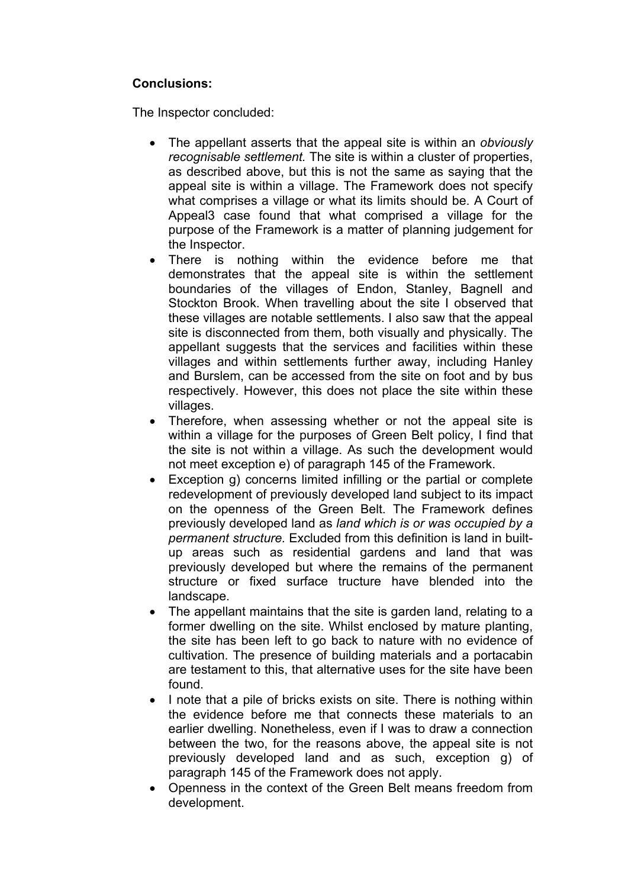## **Conclusions:**

The Inspector concluded:

- The appellant asserts that the appeal site is within an *obviously recognisable settlement.* The site is within a cluster of properties, as described above, but this is not the same as saying that the appeal site is within a village. The Framework does not specify what comprises a village or what its limits should be. A Court of Appeal3 case found that what comprised a village for the purpose of the Framework is a matter of planning judgement for the Inspector.
- There is nothing within the evidence before me that demonstrates that the appeal site is within the settlement boundaries of the villages of Endon, Stanley, Bagnell and Stockton Brook. When travelling about the site I observed that these villages are notable settlements. I also saw that the appeal site is disconnected from them, both visually and physically. The appellant suggests that the services and facilities within these villages and within settlements further away, including Hanley and Burslem, can be accessed from the site on foot and by bus respectively. However, this does not place the site within these villages.
- Therefore, when assessing whether or not the appeal site is within a village for the purposes of Green Belt policy, I find that the site is not within a village. As such the development would not meet exception e) of paragraph 145 of the Framework.
- Exception g) concerns limited infilling or the partial or complete redevelopment of previously developed land subject to its impact on the openness of the Green Belt. The Framework defines previously developed land as *land which is or was occupied by a permanent structure.* Excluded from this definition is land in builtup areas such as residential gardens and land that was previously developed but where the remains of the permanent structure or fixed surface tructure have blended into the landscape.
- The appellant maintains that the site is garden land, relating to a former dwelling on the site. Whilst enclosed by mature planting, the site has been left to go back to nature with no evidence of cultivation. The presence of building materials and a portacabin are testament to this, that alternative uses for the site have been found.
- I note that a pile of bricks exists on site. There is nothing within the evidence before me that connects these materials to an earlier dwelling. Nonetheless, even if I was to draw a connection between the two, for the reasons above, the appeal site is not previously developed land and as such, exception g) of paragraph 145 of the Framework does not apply.
- Openness in the context of the Green Belt means freedom from development.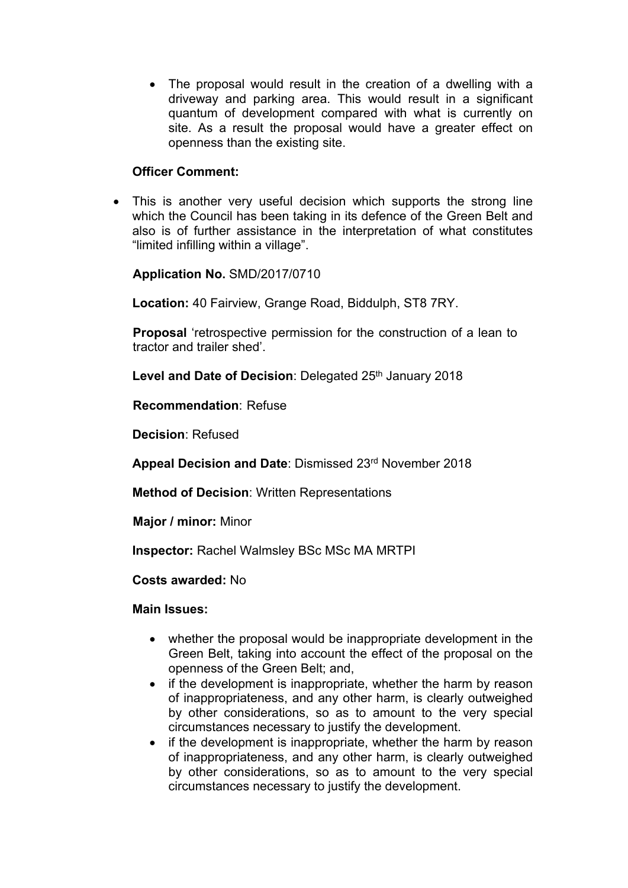• The proposal would result in the creation of a dwelling with a driveway and parking area. This would result in a significant quantum of development compared with what is currently on site. As a result the proposal would have a greater effect on openness than the existing site.

## **Officer Comment:**

 This is another very useful decision which supports the strong line which the Council has been taking in its defence of the Green Belt and also is of further assistance in the interpretation of what constitutes "limited infilling within a village".

## **Application No.** SMD/2017/0710

**Location:** 40 Fairview, Grange Road, Biddulph, ST8 7RY.

**Proposal** 'retrospective permission for the construction of a lean to tractor and trailer shed'.

**Level and Date of Decision: Delegated 25<sup>th</sup> January 2018** 

**Recommendation**: Refuse

**Decision**: Refused

**Appeal Decision and Date**: Dismissed 23rd November 2018

**Method of Decision**: Written Representations

**Major / minor:** Minor

**Inspector:** Rachel Walmsley BSc MSc MA MRTPI

**Costs awarded:** No

## **Main Issues:**

- whether the proposal would be inappropriate development in the Green Belt, taking into account the effect of the proposal on the openness of the Green Belt; and,
- if the development is inappropriate, whether the harm by reason of inappropriateness, and any other harm, is clearly outweighed by other considerations, so as to amount to the very special circumstances necessary to justify the development.
- if the development is inappropriate, whether the harm by reason of inappropriateness, and any other harm, is clearly outweighed by other considerations, so as to amount to the very special circumstances necessary to justify the development.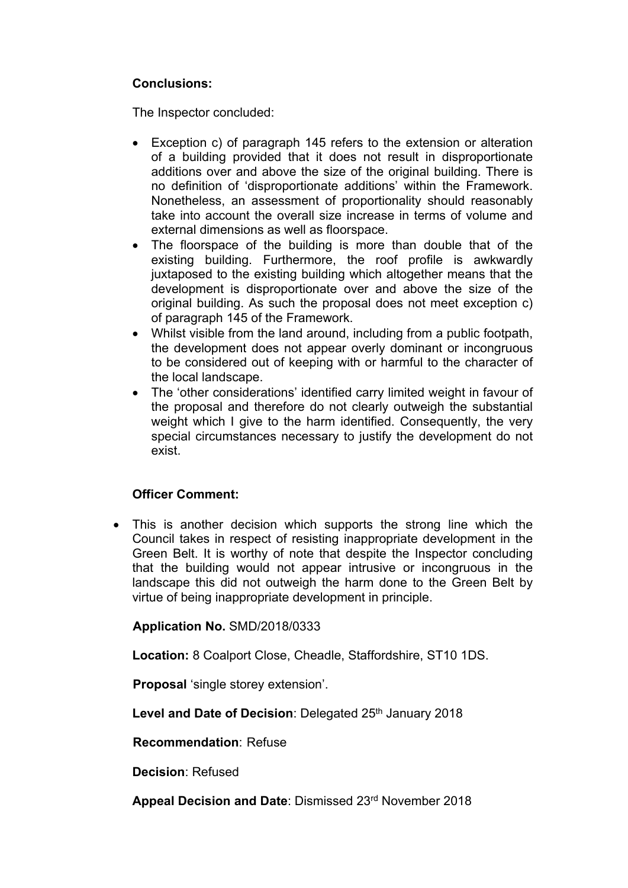## **Conclusions:**

The Inspector concluded:

- Exception c) of paragraph 145 refers to the extension or alteration of a building provided that it does not result in disproportionate additions over and above the size of the original building. There is no definition of 'disproportionate additions' within the Framework. Nonetheless, an assessment of proportionality should reasonably take into account the overall size increase in terms of volume and external dimensions as well as floorspace.
- The floorspace of the building is more than double that of the existing building. Furthermore, the roof profile is awkwardly juxtaposed to the existing building which altogether means that the development is disproportionate over and above the size of the original building. As such the proposal does not meet exception c) of paragraph 145 of the Framework.
- Whilst visible from the land around, including from a public footpath, the development does not appear overly dominant or incongruous to be considered out of keeping with or harmful to the character of the local landscape.
- The 'other considerations' identified carry limited weight in favour of the proposal and therefore do not clearly outweigh the substantial weight which I give to the harm identified. Consequently, the very special circumstances necessary to justify the development do not exist.

## **Officer Comment:**

 This is another decision which supports the strong line which the Council takes in respect of resisting inappropriate development in the Green Belt. It is worthy of note that despite the Inspector concluding that the building would not appear intrusive or incongruous in the landscape this did not outweigh the harm done to the Green Belt by virtue of being inappropriate development in principle.

**Application No.** SMD/2018/0333

**Location:** 8 Coalport Close, Cheadle, Staffordshire, ST10 1DS.

**Proposal** 'single storey extension'.

Level and Date of Decision: Delegated 25<sup>th</sup> January 2018

**Recommendation**: Refuse

**Decision**: Refused

**Appeal Decision and Date**: Dismissed 23rd November 2018